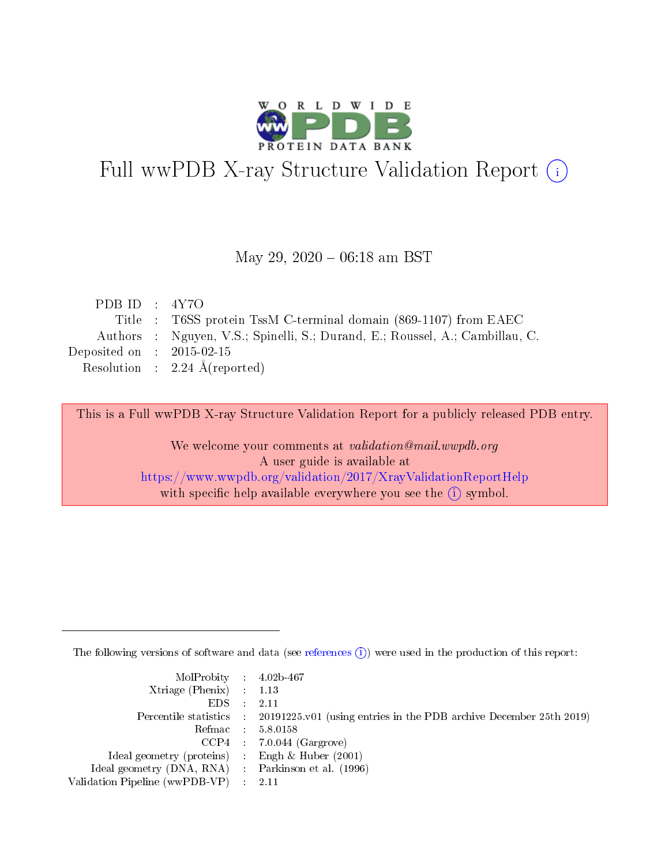

# Full wwPDB X-ray Structure Validation Report (i)

#### May 29,  $2020 - 06:18$  am BST

| PDB ID : $4Y7O$             |                                                                              |
|-----------------------------|------------------------------------------------------------------------------|
|                             | Title : T6SS protein TssM C-terminal domain (869-1107) from EAEC             |
|                             | Authors : Nguyen, V.S.; Spinelli, S.; Durand, E.; Roussel, A.; Cambillau, C. |
| Deposited on : $2015-02-15$ |                                                                              |
|                             | Resolution : $2.24 \text{ Å}$ (reported)                                     |

This is a Full wwPDB X-ray Structure Validation Report for a publicly released PDB entry.

We welcome your comments at validation@mail.wwpdb.org A user guide is available at <https://www.wwpdb.org/validation/2017/XrayValidationReportHelp> with specific help available everywhere you see the  $(i)$  symbol.

The following versions of software and data (see [references](https://www.wwpdb.org/validation/2017/XrayValidationReportHelp#references)  $(i)$ ) were used in the production of this report:

| MolProbity : $4.02b-467$                            |                                                                                            |
|-----------------------------------------------------|--------------------------------------------------------------------------------------------|
| Xtriage (Phenix) $: 1.13$                           |                                                                                            |
| EDS -                                               | 2.11                                                                                       |
|                                                     | Percentile statistics : 20191225.v01 (using entries in the PDB archive December 25th 2019) |
|                                                     | Refmac 58.0158                                                                             |
|                                                     | $CCP4$ 7.0.044 (Gargrove)                                                                  |
| Ideal geometry (proteins) : Engh $\&$ Huber (2001)  |                                                                                            |
| Ideal geometry (DNA, RNA) : Parkinson et al. (1996) |                                                                                            |
| Validation Pipeline (wwPDB-VP)                      | -2.11                                                                                      |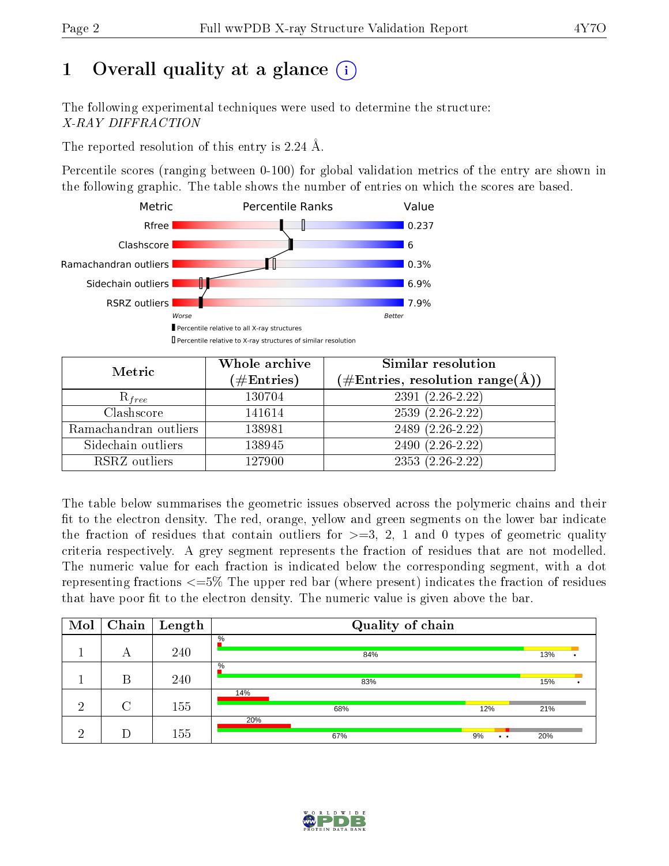# 1 [O](https://www.wwpdb.org/validation/2017/XrayValidationReportHelp#overall_quality)verall quality at a glance  $(i)$

The following experimental techniques were used to determine the structure: X-RAY DIFFRACTION

The reported resolution of this entry is 2.24 Å.

Percentile scores (ranging between 0-100) for global validation metrics of the entry are shown in the following graphic. The table shows the number of entries on which the scores are based.



| Metric                | Whole archive<br>$(\#\mathrm{Entries})$ | Similar resolution<br>$(\#\text{Entries}, \text{resolution range}(\text{\AA}))$ |
|-----------------------|-----------------------------------------|---------------------------------------------------------------------------------|
| $R_{free}$            | 130704                                  | $2391(2.26-2.22)$                                                               |
| Clashscore            | 141614                                  | $2539(2.26-2.22)$                                                               |
| Ramachandran outliers | 138981                                  | $2489(2.26-2.22)$                                                               |
| Sidechain outliers    | 138945                                  | 2490 (2.26-2.22)                                                                |
| RSRZ outliers         | 127900                                  | $2353(2.26-2.22)$                                                               |

The table below summarises the geometric issues observed across the polymeric chains and their fit to the electron density. The red, orange, yellow and green segments on the lower bar indicate the fraction of residues that contain outliers for  $>=3, 2, 1$  and 0 types of geometric quality criteria respectively. A grey segment represents the fraction of residues that are not modelled. The numeric value for each fraction is indicated below the corresponding segment, with a dot representing fractions <=5% The upper red bar (where present) indicates the fraction of residues that have poor fit to the electron density. The numeric value is given above the bar.

| Mol |        | $\boxed{\text{Chain}}$ Length | Quality of chain |                             |     |  |  |
|-----|--------|-------------------------------|------------------|-----------------------------|-----|--|--|
|     | А      | 240                           | $\%$<br>84%      |                             | 13% |  |  |
|     | В      | 240                           | $\%$<br>83%      |                             | 15% |  |  |
| ച   | $\cap$ | 155                           | 14%<br>68%       | 12%                         | 21% |  |  |
| ച   |        | 155                           | 20%<br>67%       | 9%<br>$\bullet\quad\bullet$ | 20% |  |  |

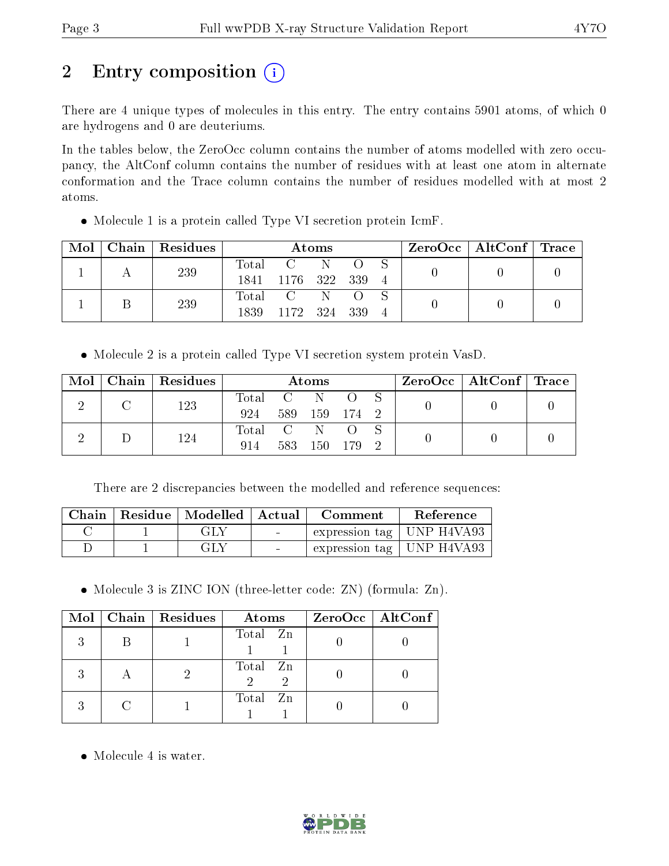# 2 Entry composition (i)

There are 4 unique types of molecules in this entry. The entry contains 5901 atoms, of which 0 are hydrogens and 0 are deuteriums.

In the tables below, the ZeroOcc column contains the number of atoms modelled with zero occupancy, the AltConf column contains the number of residues with at least one atom in alternate conformation and the Trace column contains the number of residues modelled with at most 2 atoms.

| • Molecule 1 is a protein called Type VI secretion protein IcmF. |  |  |  |
|------------------------------------------------------------------|--|--|--|
|                                                                  |  |  |  |

| Mol | Chain Residues | Atoms            |              |  | $\text{ZeroOcc} \mid \text{AltConf} \mid \text{Trace}$ |  |  |
|-----|----------------|------------------|--------------|--|--------------------------------------------------------|--|--|
|     | 239            | $\mathrm{Total}$ | $C = N$      |  |                                                        |  |  |
|     |                | 1841             | 1176 322 339 |  |                                                        |  |  |
|     | 239            |                  | Total C      |  |                                                        |  |  |
|     |                | 1839             | 1172 324 339 |  |                                                        |  |  |

Molecule 2 is a protein called Type VI secretion system protein VasD.

| Mol | Chain   Residues |           |                 | Atoms         |       |  | ZeroOcc   AltConf   Trace |  |
|-----|------------------|-----------|-----------------|---------------|-------|--|---------------------------|--|
|     | 123              | Total C N |                 |               |       |  |                           |  |
|     |                  | 924       |                 | 589 159 174 2 |       |  |                           |  |
|     | 124              | Total     | $\sim$ C $\sim$ | -N            |       |  |                           |  |
|     |                  | 914       | 583             | 150           | - 179 |  |                           |  |

There are 2 discrepancies between the modelled and reference sequences:

| Chain | $\mid$ Residue $\mid$ Modelled $\mid$ Actual $\mid$ |                          | Comment                               | Reference |
|-------|-----------------------------------------------------|--------------------------|---------------------------------------|-----------|
|       | GLY                                                 | <b>Contract Contract</b> | $\perp$ expression tag   UNP H4VA93   |           |
|       | GLY                                                 | <b>Contract Contract</b> | $\pm$ expression tag $\pm$ UNP H4VA93 |           |

• Molecule 3 is ZINC ION (three-letter code: ZN) (formula: Zn).

|           | Mol   Chain   Residues | Atoms               | $ZeroOcc$   AltConf |
|-----------|------------------------|---------------------|---------------------|
|           |                        | Total Zn            |                     |
| $\forall$ |                        | Total Zn<br>-2<br>2 |                     |
|           |                        | Total Zn            |                     |

• Molecule 4 is water.

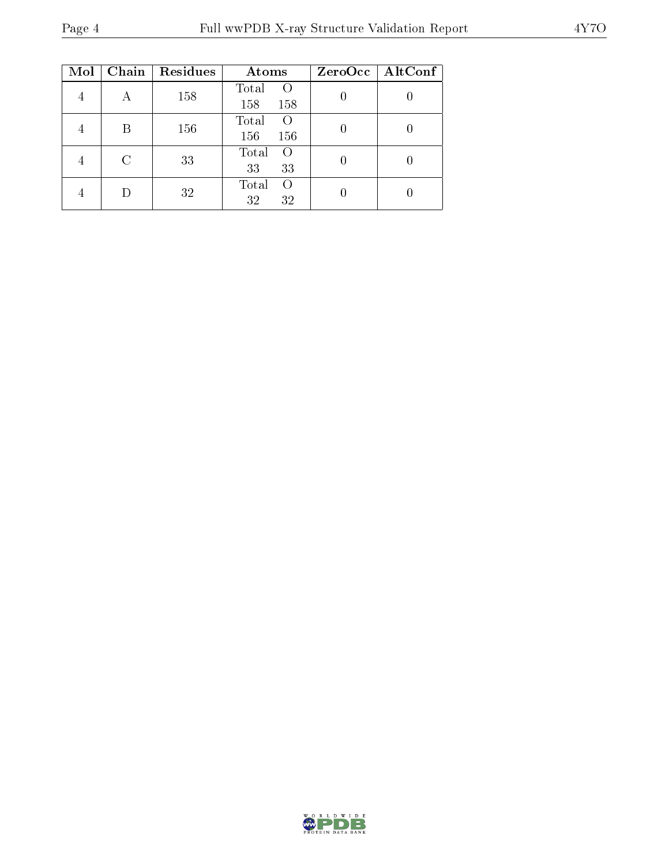| Mol | Chain         | <b>Residues</b> | Atoms                           | ZeroOcc   AltConf |
|-----|---------------|-----------------|---------------------------------|-------------------|
|     | А             | 158             | Total<br>$\left($<br>158<br>158 |                   |
|     | B             | 156             | Total<br>$\Omega$<br>156<br>156 |                   |
|     | $\mathcal{C}$ | 33              | Total<br>$\Omega$<br>33<br>33   |                   |
|     |               | 32              | Total<br>$\Omega$<br>32<br>32   |                   |

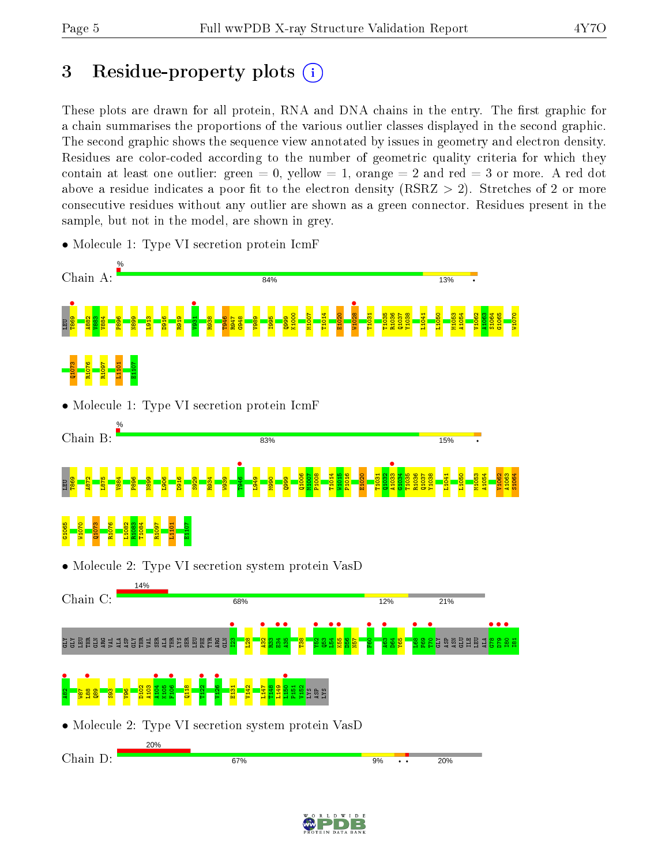# 3 Residue-property plots  $(i)$

These plots are drawn for all protein, RNA and DNA chains in the entry. The first graphic for a chain summarises the proportions of the various outlier classes displayed in the second graphic. The second graphic shows the sequence view annotated by issues in geometry and electron density. Residues are color-coded according to the number of geometric quality criteria for which they contain at least one outlier: green  $= 0$ , yellow  $= 1$ , orange  $= 2$  and red  $= 3$  or more. A red dot above a residue indicates a poor fit to the electron density (RSRZ  $> 2$ ). Stretches of 2 or more consecutive residues without any outlier are shown as a green connector. Residues present in the sample, but not in the model, are shown in grey.





• Molecule 1: Type VI secretion protein IcmF



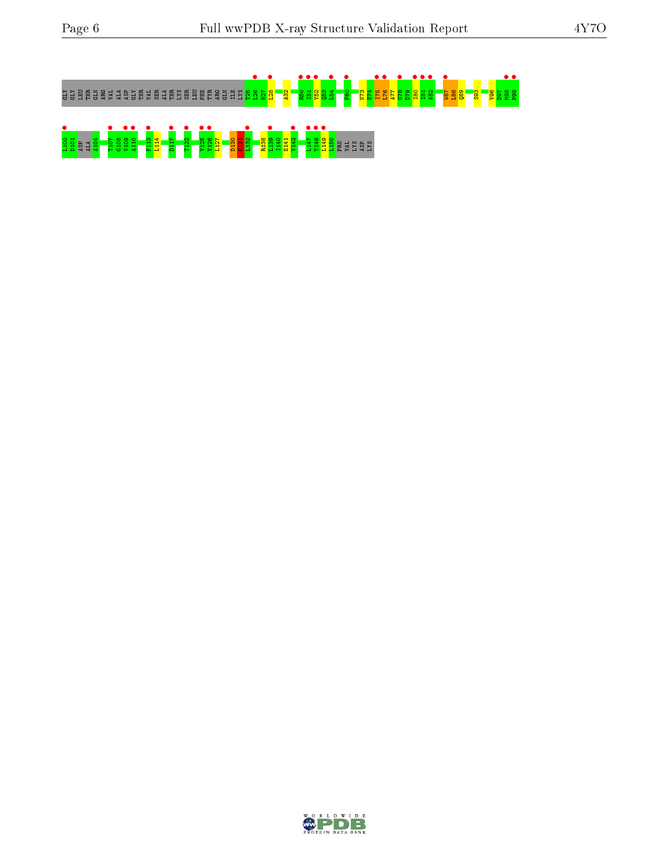

<u>e Linda e See e Linda e See</u><br>1908 <mark>- Pissai Bill e Glassa e See e Linda e Linda</mark> e Lian

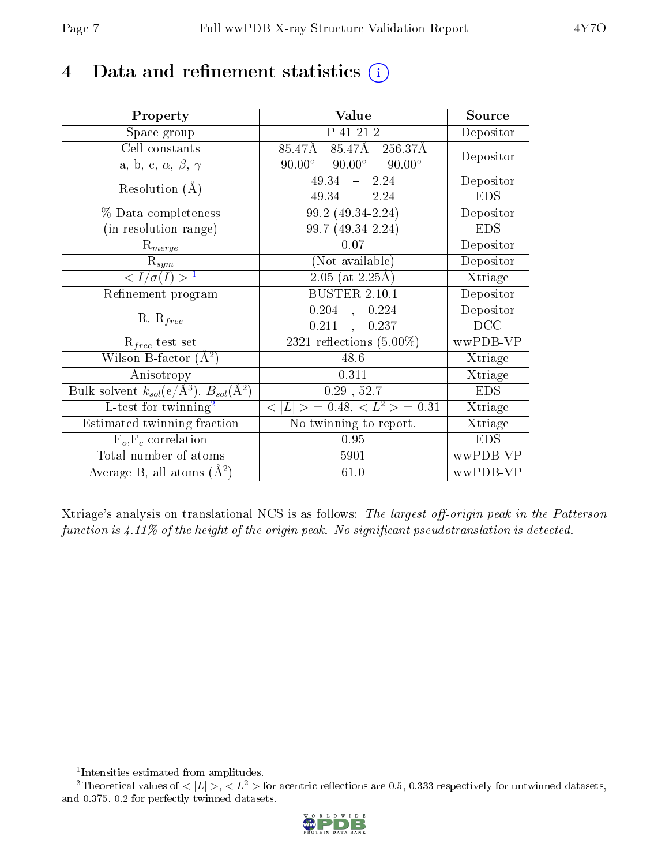## 4 Data and refinement statistics  $(i)$

| Property                                                   | Value                                            | Source     |
|------------------------------------------------------------|--------------------------------------------------|------------|
| Space group                                                | P 41 21 2                                        | Depositor  |
| Cell constants                                             | 85.47Å 85.47Å 256.37Å                            | Depositor  |
| a, b, c, $\alpha$ , $\beta$ , $\gamma$                     | $90.00^{\circ}$ $90.00^{\circ}$<br>$90.00^\circ$ |            |
| Resolution $(A)$                                           | $-2.24$<br>49.34                                 | Depositor  |
|                                                            | $49.34 - 2.24$                                   | <b>EDS</b> |
| % Data completeness                                        | 99.2 (49.34-2.24)                                | Depositor  |
| (in resolution range)                                      | 99.7 (49.34-2.24)                                | <b>EDS</b> |
| $\mathrm{R}_{merge}$                                       | $0.07\,$                                         | Depositor  |
| $\mathrm{R}_{sym}$                                         | (Not available)                                  | Depositor  |
| $\langle I/\sigma(I) \rangle$ <sup>1</sup>                 | $\sqrt{2.05 \text{ (at } 2.25 \text{\AA})}$      | Xtriage    |
| Refinement program                                         | <b>BUSTER 2.10.1</b>                             | Depositor  |
|                                                            | $0.204$ , $0.224$                                | Depositor  |
| $R, R_{free}$                                              | $0.211$ ,<br>0.237                               | DCC        |
| $\mathcal{R}_{free}$ test set                              | 2321 reflections $(5.00\%)$                      | wwPDB-VP   |
| Wilson B-factor $(A^2)$                                    | 48.6                                             | Xtriage    |
| Anisotropy                                                 | 0.311                                            | Xtriage    |
| Bulk solvent $k_{sol}$ (e/Å <sup>3</sup> ), $B_{sol}(A^2)$ | $0.29$ , 52.7                                    | <b>EDS</b> |
| L-test for $\mathrm{twinning}^2$                           | $< L >$ = 0.48, $< L2 >$ = 0.31                  | Xtriage    |
| Estimated twinning fraction                                | No twinning to report.                           | Xtriage    |
| $F_o, F_c$ correlation                                     | 0.95                                             | <b>EDS</b> |
| Total number of atoms                                      | 5901                                             | wwPDB-VP   |
| Average B, all atoms $(A^2)$                               | 61.0                                             | wwPDB-VP   |

Xtriage's analysis on translational NCS is as follows: The largest off-origin peak in the Patterson function is  $4.11\%$  of the height of the origin peak. No significant pseudotranslation is detected.

<sup>&</sup>lt;sup>2</sup>Theoretical values of  $\langle |L| \rangle$ ,  $\langle L^2 \rangle$  for acentric reflections are 0.5, 0.333 respectively for untwinned datasets, and 0.375, 0.2 for perfectly twinned datasets.



<span id="page-6-1"></span><span id="page-6-0"></span><sup>1</sup> Intensities estimated from amplitudes.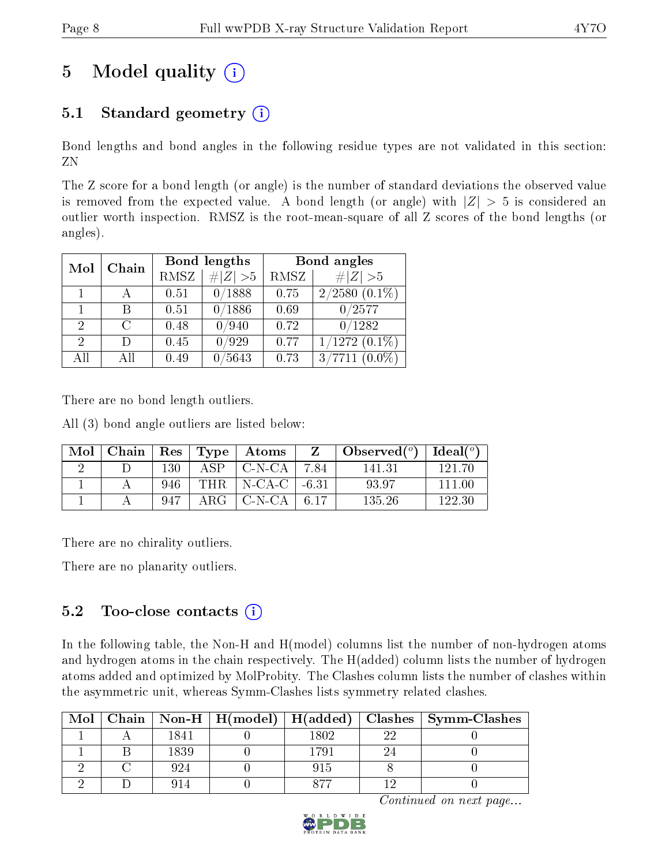# 5 Model quality  $(i)$

### 5.1 Standard geometry  $(i)$

Bond lengths and bond angles in the following residue types are not validated in this section: ZN

The Z score for a bond length (or angle) is the number of standard deviations the observed value is removed from the expected value. A bond length (or angle) with  $|Z| > 5$  is considered an outlier worth inspection. RMSZ is the root-mean-square of all Z scores of the bond lengths (or angles).

| Mol           | Chain |             | Bond lengths | Bond angles |                    |  |
|---------------|-------|-------------|--------------|-------------|--------------------|--|
|               |       | <b>RMSZ</b> | $\# Z  > 5$  | RMSZ        | # $ Z >5$          |  |
|               |       | 0.51        | 0/1888       | 0.75        | $2/2580(0.1\%)$    |  |
|               | В     | 0.51        | 0/1886       | 0.69        | 0/2577             |  |
| $\mathcal{D}$ | C     | 0.48        | 0/940        | 0.72        | 0/1282             |  |
| $\mathcal{D}$ | Ð     | 0.45        | 0/929        | 0.77        | $1/1272$ $(0.1\%)$ |  |
| AĦ            | All   | 0.49        | /5643        | 0.73        | 3/7711             |  |

There are no bond length outliers.

All (3) bond angle outliers are listed below:

| Mol | $\mid$ Chain |     |            | Res   Type   Atoms           | $\mid$ Observed $({}^o)$ $\mid$ | $\vert$ Ideal( $^o$ ) |
|-----|--------------|-----|------------|------------------------------|---------------------------------|-----------------------|
|     |              | 130 | ASP.       | C-N-CA   7.84                | 141 31                          | 191 ZC                |
|     |              | 946 | THR.       | $\vert$ N-CA-C $\vert$ -6.31 | 93.97                           | 111 M                 |
|     |              | 947 | $\rm{ARG}$ | $\mid$ C-N-CA $\mid$ 6.17    | 135.26                          | 122.30                |

There are no chirality outliers.

There are no planarity outliers.

### $5.2$  Too-close contacts  $(i)$

In the following table, the Non-H and H(model) columns list the number of non-hydrogen atoms and hydrogen atoms in the chain respectively. The H(added) column lists the number of hydrogen atoms added and optimized by MolProbity. The Clashes column lists the number of clashes within the asymmetric unit, whereas Symm-Clashes lists symmetry related clashes.

| Mol |      |      |    | Chain   Non-H   H(model)   H(added)   Clashes   Symm-Clashes |
|-----|------|------|----|--------------------------------------------------------------|
|     | 1841 | 1802 | າາ |                                                              |
|     | 1839 | 1791 |    |                                                              |
|     | 924  | 915  |    |                                                              |
|     |      | ロワワ  |    |                                                              |

Continued on next page...

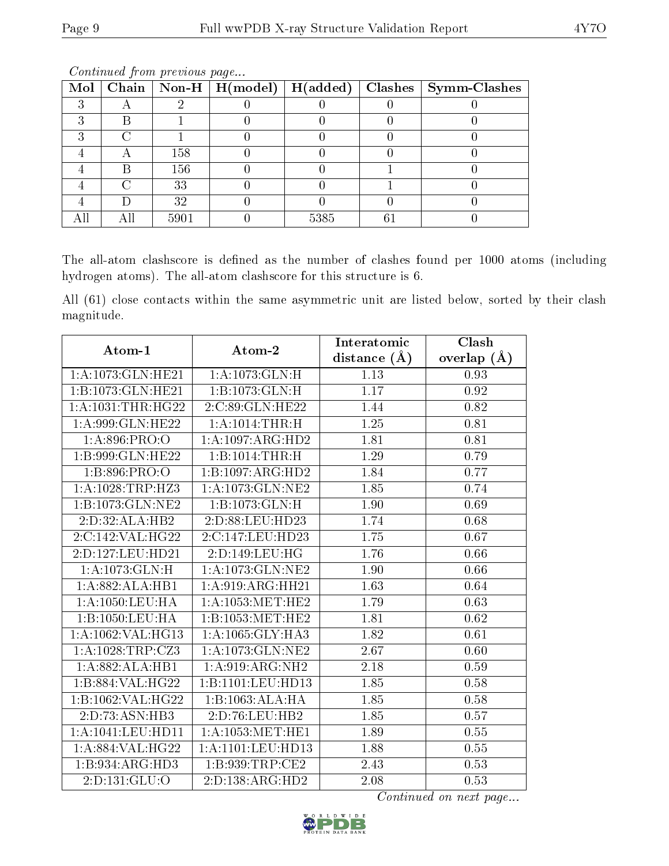|  |      |      |    | Mol   Chain   Non-H   H(model)   H(added)   Clashes   Symm-Clashes |
|--|------|------|----|--------------------------------------------------------------------|
|  |      |      |    |                                                                    |
|  |      |      |    |                                                                    |
|  |      |      |    |                                                                    |
|  | 158  |      |    |                                                                    |
|  | 156  |      |    |                                                                    |
|  | 33   |      |    |                                                                    |
|  | 32   |      |    |                                                                    |
|  | 5901 | 5385 | 61 |                                                                    |

Continued from previous page...

The all-atom clashscore is defined as the number of clashes found per 1000 atoms (including hydrogen atoms). The all-atom clashscore for this structure is 6.

All (61) close contacts within the same asymmetric unit are listed below, sorted by their clash magnitude.

| Atom-1                | Atom-2                        | Interatomic       | Clash         |
|-----------------------|-------------------------------|-------------------|---------------|
|                       |                               | distance $(A)$    | overlap $(A)$ |
| 1:A:1073:GLN:HE21     | 1:A:1073:GLN:H                | 1.13              | 0.93          |
| 1:B:1073:GLN:HE21     | $1:B:1073:GLN:\overline{H}$   | 1.17              | 0.92          |
| 1: A: 1031: THR: HG22 | 2:C:89:GLN:HE22               | 1.44              | $0.82\,$      |
| 1: A:999: GLN: HE22   | 1:A:1014:THR:H                | 1.25              | 0.81          |
| 1: A:896: PRO:O       | 1:A:1097:ARG:HD2              | 1.81              | 0.81          |
| 1:B:999:GLN:HE22      | 1:B:1014:THR:H                | 1.29              | 0.79          |
| 1:B:896:PRO:O         | 1:B:1097:ARG:HD2              | 1.84              | 0.77          |
| 1: A: 1028: TRP: HZ3  | 1:A:1073:GLN:NE2              | 1.85              | 0.74          |
| 1:B:1073:GLN:NE2      | 1:B:1073:GLN:H                | 1.90              | 0.69          |
| 2:D:32:ALA:HB2        | 2:D:88:LEU:HD23               | 1.74              | 0.68          |
| 2:C:142:VAL:HG22      | 2:C:147:LEU:HD23              | 1.75              | 0.67          |
| 2:D:127:LEU:HD21      | 2:D:149:LEU:HG                | 1.76              | 0.66          |
| 1: A: 1073: GLN: H    | 1: A: 1073: GLN: NE2          | 1.90              | 0.66          |
| 1:A:882:ALA:HB1       | 1: A:919: ARG: HH21           | 1.63              | 0.64          |
| 1:A:1050:LEU:HA       | $1: A: 1053$ : MET: HE2       | 1.79              | $0.63\,$      |
| 1: B: 1050: LEU: HA   | 1:B:1053:MET:HE2              | 1.81              | 0.62          |
| 1:A:1062:VAL:HG13     | $1:A:1065:GLY:H\overline{A3}$ | 1.82              | 0.61          |
| 1:A:1028:TRP:CZ3      | 1: A: 1073: GLN: NE2          | 2.67              | 0.60          |
| 1:A:882:ALA:HB1       | 1:A:919:ARG:NH2               | 2.18              | 0.59          |
| 1:B:884:VAL:HG22      | 1:B:1101:LEU:HD13             | 1.85              | 0.58          |
| 1:B:1062:VAL:H G22    | 1:B:1063:ALA:HA               | $\overline{1.85}$ | 0.58          |
| 2:D:73:ASN:HB3        | 2:D:76:LEU:HB2                | 1.85              | 0.57          |
| 1:A:1041:LEU:HD11     | 1: A: 1053: MET: HE1          | 1.89              | 0.55          |
| 1:A:884:VAL:HG22      | 1:A:1101:LEU:HD13             | 1.88              | 0.55          |
| 1:B:934:ARG:HD3       | 1: B: 939: TRP: CE2           | 2.43              | 0.53          |
| 2:D:131:GLU:O         | 2:D:138:ARG:HD2               | 2.08              | 0.53          |

Continued on next page...

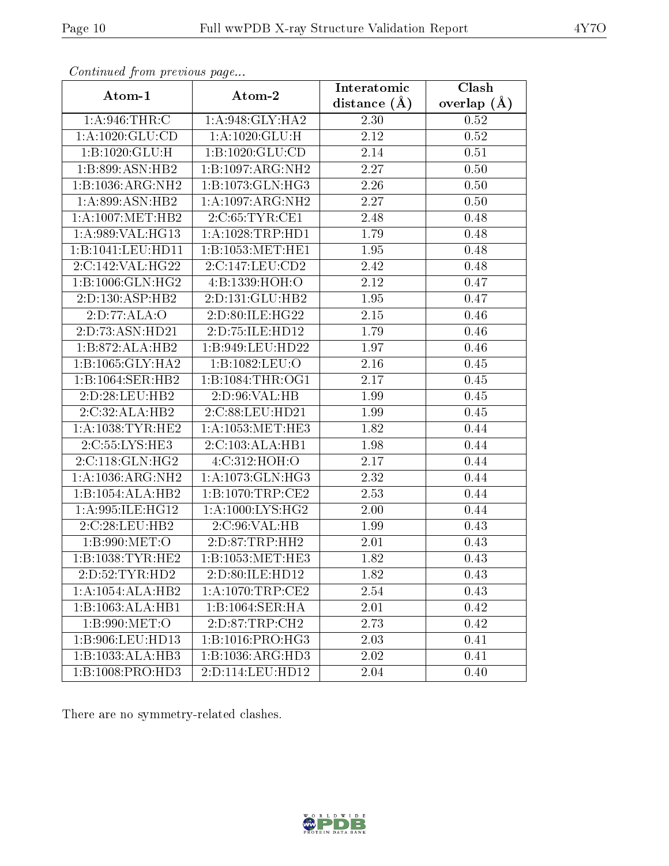| $\sum_{i=1}^{n}$     |                              | Interatomic      | Clash         |
|----------------------|------------------------------|------------------|---------------|
| Atom-1               | Atom-2                       | distance $(\AA)$ | overlap $(A)$ |
| 1: A:946:THR:C       | 1: A:948: GLY: HA2           | 2.30             | 0.52          |
| 1: A: 1020: GLU: CD  | 1: A:1020: GLU: H            | 2.12             | 0.52          |
| 1:B:1020:GLU:H       | 1:B:1020:GLU:CD              | 2.14             | 0.51          |
| 1:B:899:ASN:HB2      | 1:B:1097:ARG:NH2             | 2.27             | 0.50          |
| 1:B:1036:ARG:NH2     | 1:B:1073:GLN:HG3             | 2.26             | 0.50          |
| 1: A:899: ASN:HB2    | 1:A:1097:ARG:NH2             | 2.27             | 0.50          |
| 1: A: 1007: MET: HB2 | 2:C:65:TYR:CE1               | 2.48             | 0.48          |
| 1:A:989:VAL:HG13     | 1: A: 1028: TRP: HD1         | 1.79             | 0.48          |
| 1:B:1041:LEU:HD11    | 1:B:1053:MET:HE1             | 1.95             | 0.48          |
| 2:C:142:VAL:HG22     | 2:C:147:LEU:CD2              | 2.42             | 0.48          |
| 1: B: 1006: GLN: HG2 | 4:B:1339:HOH:O               | 2.12             | 0.47          |
| 2:D:130:ASP:HB2      | 2:D:131:GLU:HB2              | 1.95             | 0.47          |
| 2:D:77:ALA:O         | 2:D:80:ILE:HG22              | 2.15             | 0.46          |
| 2:D:73:ASN:HD21      | 2:D:75:ILE:HD12              | 1.79             | $0.46\,$      |
| 1:B:872:ALA:HB2      | 1:B:949:LEU:HD22             | 1.97             | 0.46          |
| 1:B:1065:GLY:HA2     | 1:B:1082:LEU:O               | 2.16             | 0.45          |
| 1:B:1064:SER:HB2     | 1: B: 1084: THR: OG1         | 2.17             | 0.45          |
| 2:D:28:LEU:HB2       | 2:D:96:VAL:HB                | 1.99             | 0.45          |
| 2:C:32:ALA:HB2       | 2:C:88:LEU:HD21              | 1.99             | 0.45          |
| 1: A: 1038: TYR: HE2 | 1: A: 1053: MET: HE3         | 1.82             | 0.44          |
| 2:C:55:LYS:HE3       | 2:C:103:ALA:HB1              | 1.98             | 0.44          |
| 2:C:118:GLN:HG2      | 4:C:312:HOH:O                | 2.17             | 0.44          |
| 1:A:1036:ARG:NH2     | 1:A:1073:GLN:HG3             | 2.32             | 0.44          |
| 1:B:1054:ALA:HB2     | 1:B:1070:TRP:CE2             | 2.53             | 0.44          |
| 1: A:995: ILE: HG12  | 1: A:1000: LYS: HG2          | 2.00             | 0.44          |
| 2:C:28:LEU:HB2       | 2:C:96:VAL:HB                | 1.99             | 0.43          |
| 1:B:990:MET:O        | 2: D: 87: TRP: HH2           | $2.01\,$         | 0.43          |
| 1: B: 1038: TYR: HE2 | 1:B:1053:MET:HE3             | 1.82             | 0.43          |
| 2:D:52:TYR:HD2       | 2:D:80:ILE:HD12              | 1.82             | 0.43          |
| 1:A:1054:ALA:HB2     | $1: A: 1070: \text{TRP:CE2}$ | 2.54             | 0.43          |
| 1:B:1063:ALA:HB1     | 1:B:1064:SER:HA              | 2.01             | 0.42          |
| 1:B:990:MET:O        | 2:D:87:TRP:CH2               | 2.73             | 0.42          |
| 1:B:906:LEU:HD13     | 1:B:1016:PRO:HG3             | 2.03             | 0.41          |
| 1:B:1033:ALA:HB3     | 1:B:1036:ARG:HD3             | 2.02             | 0.41          |
| 1:B:1008:PRO:HD3     | 2:D:114:LEU:HD12             | 2.04             | 0.40          |

Continued from previous page...

There are no symmetry-related clashes.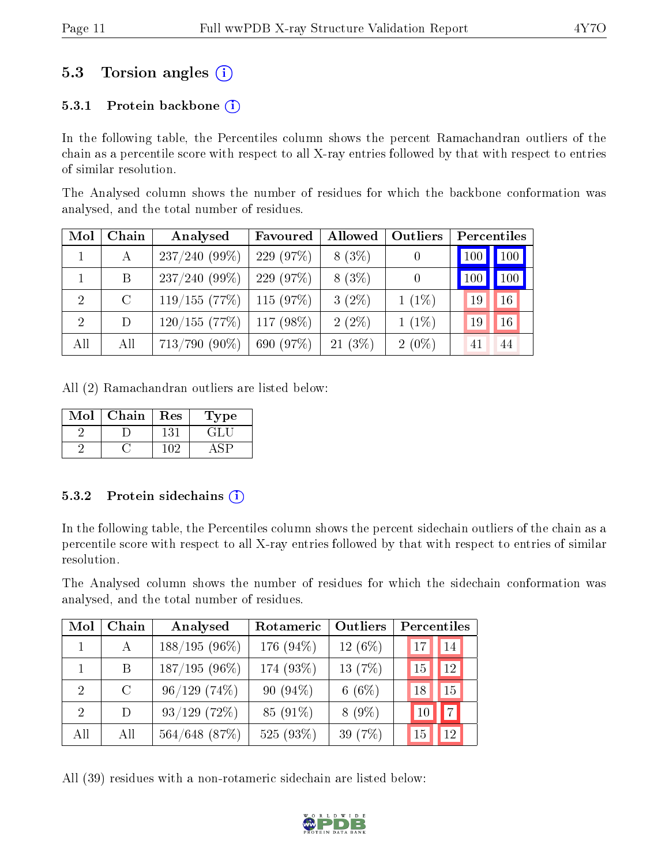### 5.3 Torsion angles (i)

#### 5.3.1 Protein backbone  $(i)$

In the following table, the Percentiles column shows the percent Ramachandran outliers of the chain as a percentile score with respect to all X-ray entries followed by that with respect to entries of similar resolution.

The Analysed column shows the number of residues for which the backbone conformation was analysed, and the total number of residues.

| Mol          | Chain   | Analysed         | Favoured     | Allowed   | Outliers         |     | Percentiles |
|--------------|---------|------------------|--------------|-----------|------------------|-----|-------------|
| $\mathbf{1}$ | А       | $237/240(99\%)$  | 229 $(97\%)$ | $8(3\%)$  | $\boldsymbol{0}$ | 100 | 100         |
|              | B       | $237/240(99\%)$  | (97%)<br>229 | $8(3\%)$  | 0                |     | 100         |
| 2            | $\rm C$ | 119/155(77%)     | $115(97\%)$  | $3(2\%)$  | $1(1\%)$         | 19  | 16          |
| 2            | D       | 120/155(77%)     | $117(98\%)$  | $2(2\%)$  | $1(1\%)$         | 19  | 16          |
| All          | All     | $713/790 (90\%)$ | 690 (97%)    | $21(3\%)$ | $2(0\%)$         |     | 44          |

All (2) Ramachandran outliers are listed below:

| $\operatorname{Mol}$ | Chain | $\operatorname{Res}% \left( \mathcal{N}\right) \equiv\operatorname{Res}(\mathcal{N}_{0},\mathcal{N}_{0})$ | Type  |
|----------------------|-------|-----------------------------------------------------------------------------------------------------------|-------|
|                      |       | 131                                                                                                       | E HAT |
|                      |       | 102                                                                                                       |       |

#### 5.3.2 Protein sidechains  $(i)$

In the following table, the Percentiles column shows the percent sidechain outliers of the chain as a percentile score with respect to all X-ray entries followed by that with respect to entries of similar resolution.

The Analysed column shows the number of residues for which the sidechain conformation was analysed, and the total number of residues.

| Mol                         | Chain        | Analysed        | Rotameric   | <b>Outliers</b> | Percentiles |                 |
|-----------------------------|--------------|-----------------|-------------|-----------------|-------------|-----------------|
|                             | $\mathbf{A}$ | $188/195(96\%)$ | 176 (94%)   | $12(6\%)$       | 17          | 14              |
|                             | B.           | $187/195(96\%)$ | 174 (93%)   | 13 $(7%)$       | 15          | 12              |
| $\mathcal{D}_{\mathcal{L}}$ | $\rm C$      | 96/129(74%)     | 90 $(94\%)$ | 6 $(6\%)$       | 18          | 15              |
| $\mathcal{D}$               | D.           | $93/129$ (72%)  | 85 (91\%)   | $8(9\%)$        |             | $\vert 7 \vert$ |
| All                         | All          | 564/648 (87%)   | 525 (93%)   | 39 (7%)         | 15          | 12              |

All (39) residues with a non-rotameric sidechain are listed below:

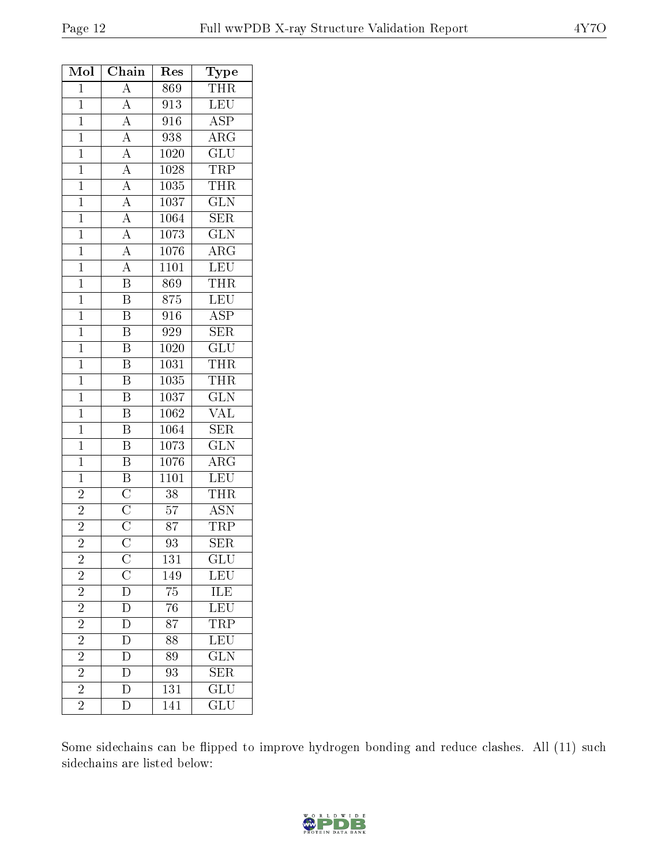| Mol            | Chain                                                                                                                                                                                                                                                       | Res               | $_{\rm Type}$                                                             |
|----------------|-------------------------------------------------------------------------------------------------------------------------------------------------------------------------------------------------------------------------------------------------------------|-------------------|---------------------------------------------------------------------------|
| $\mathbf{1}$   | A                                                                                                                                                                                                                                                           | 869               | <b>THR</b>                                                                |
| $\mathbf{1}$   |                                                                                                                                                                                                                                                             | 913               | LEU                                                                       |
| $\mathbf{1}$   |                                                                                                                                                                                                                                                             | 916               | <b>ASP</b>                                                                |
| $\overline{1}$ |                                                                                                                                                                                                                                                             | 938               | $\overline{\rm{ARG}}$                                                     |
| $\mathbf{1}$   |                                                                                                                                                                                                                                                             | 1020              | $\overline{\text{GLU}}$                                                   |
| $\overline{1}$ |                                                                                                                                                                                                                                                             | 1028              | <b>TRP</b>                                                                |
| $\mathbf{1}$   | $\frac{\overline{A}}{\overline{A}}$ $\frac{\overline{A}}{\overline{A}}$ $\frac{\overline{A}}{\overline{A}}$ $\frac{\overline{A}}{\overline{A}}$ $\frac{\overline{A}}{\overline{A}}$ $\frac{\overline{A}}{\overline{A}}$ $\frac{\overline{A}}{\overline{B}}$ | 1035              | <b>THR</b>                                                                |
| $\mathbf{1}$   |                                                                                                                                                                                                                                                             | $\overline{1037}$ | $\overline{\text{GLN}}$                                                   |
| $\mathbf{1}$   |                                                                                                                                                                                                                                                             | 1064              | SER                                                                       |
| $\mathbf{1}$   |                                                                                                                                                                                                                                                             | 1073              | $\overline{\text{GLN}}$                                                   |
| $\overline{1}$ |                                                                                                                                                                                                                                                             | 1076              | $\overline{\text{ARG}}$                                                   |
| $\mathbf{1}$   |                                                                                                                                                                                                                                                             | 1101              | $\overline{\text{LEU}}$                                                   |
| $\mathbf{1}$   |                                                                                                                                                                                                                                                             | 869               | $T\overline{\text{HR}}$                                                   |
| $\overline{1}$ | $\overline{\mathrm{B}}$                                                                                                                                                                                                                                     | 875               | LEU                                                                       |
| $\mathbf{1}$   | $\overline{\mathrm{B}}$                                                                                                                                                                                                                                     | 916               | <b>ASP</b>                                                                |
| $\overline{1}$ | $\overline{\mathrm{B}}$                                                                                                                                                                                                                                     | 929               | $\overline{\text{SER}}$                                                   |
| $\mathbf{1}$   | $\overline{\mathrm{B}}$                                                                                                                                                                                                                                     | 1020              | GLU                                                                       |
| $\overline{1}$ | $\overline{\mathrm{B}}$                                                                                                                                                                                                                                     | $\overline{1031}$ | <b>THR</b>                                                                |
| $\mathbf{1}$   | $\overline{\mathrm{B}}$                                                                                                                                                                                                                                     | 1035              | <b>THR</b>                                                                |
| $\overline{1}$ | $\overline{\mathrm{B}}$                                                                                                                                                                                                                                     | 1037              | $\overline{\text{GLN}}$                                                   |
| $\mathbf{1}$   | $\overline{\mathbf{B}}$                                                                                                                                                                                                                                     | 1062              | $\overline{\text{VAL}}$                                                   |
| $\mathbf{1}$   | $\overline{\mathrm{B}}$                                                                                                                                                                                                                                     | 1064              | $\overline{\text{SER}}$                                                   |
| $\mathbf{1}$   | $\overline{\mathrm{B}}$                                                                                                                                                                                                                                     | 1073              | $\overline{\text{GLN}}$                                                   |
| $\mathbf{1}$   | $\overline{\mathbf{B}}$                                                                                                                                                                                                                                     | 1076              | $\overline{\rm{ARG}}$                                                     |
| $\mathbf{1}$   | $\overline{B}$                                                                                                                                                                                                                                              | 1101              | LEU                                                                       |
| $\overline{c}$ | $\frac{\overline{\text{C}}}{\overline{\text{C}}}}$ $\frac{\overline{\text{C}}}{\overline{\text{C}}}$                                                                                                                                                        | $\overline{38}$   | <b>THR</b>                                                                |
| $\overline{c}$ |                                                                                                                                                                                                                                                             | 57                | <b>ASN</b>                                                                |
| $\overline{2}$ |                                                                                                                                                                                                                                                             | $\overline{87}$   | <b>TRP</b>                                                                |
| $\overline{2}$ |                                                                                                                                                                                                                                                             | 93                | <b>SER</b>                                                                |
| $\overline{2}$ | Ç                                                                                                                                                                                                                                                           | 131               | $\overline{{\rm GLU}}$                                                    |
| $\overline{2}$ | $\overline{\frac{\text{C}}{\text{D}}}$<br>$\overline{\frac{\text{D}}{\text{D}}}$                                                                                                                                                                            | 149               | LEU                                                                       |
| $\overline{c}$ |                                                                                                                                                                                                                                                             | 75                | $\begin{tabular}{ c c } \hline ILE \\ \hline LEU \\ \hline \end{tabular}$ |
| $\overline{2}$ |                                                                                                                                                                                                                                                             | $\overline{76}$   |                                                                           |
| $\overline{2}$ |                                                                                                                                                                                                                                                             | 87                | <b>TRP</b>                                                                |
| $\overline{2}$ | $\overline{\rm D}$                                                                                                                                                                                                                                          | $\overline{88}$   | $\overline{\text{LEU}}$                                                   |
| $\overline{2}$ | $\overline{\rm D}$                                                                                                                                                                                                                                          | 89                | <b>GLN</b>                                                                |
| $\frac{2}{2}$  | $\mathbf{D}$                                                                                                                                                                                                                                                | 93                | $\overline{\text{SER}}$                                                   |
|                | $\overline{\rm D}$                                                                                                                                                                                                                                          | 131               | $\overline{\text{GLU}}$                                                   |
| $\overline{2}$ | $\overline{\rm D}$                                                                                                                                                                                                                                          | $\overline{141}$  | $\overline{\text{GLU}}$                                                   |

Some sidechains can be flipped to improve hydrogen bonding and reduce clashes. All (11) such sidechains are listed below:

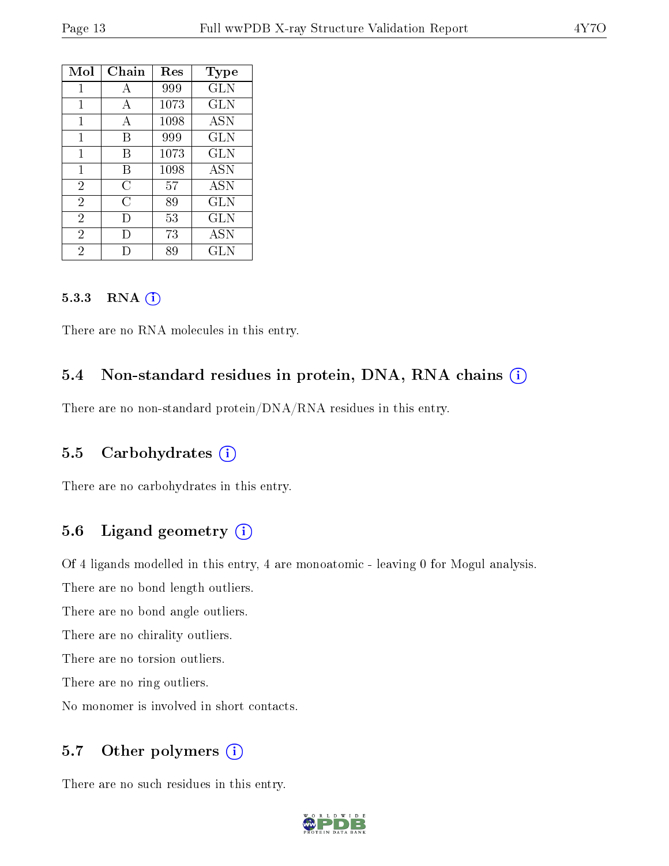| Mol            | Chain | Res  | Type         |
|----------------|-------|------|--------------|
| 1              | A     | 999  | GLN          |
| 1              | А     | 1073 | <b>GLN</b>   |
| $\mathbf{1}$   | А     | 1098 | ASN          |
| 1              | В     | 999  | <b>GLN</b>   |
| 1              | B     | 1073 | <b>GLN</b>   |
| 1              | В     | 1098 | <b>ASN</b>   |
| $\overline{2}$ | С     | 57   | <b>ASN</b>   |
| $\overline{2}$ | C     | 89   | GLN          |
| $\overline{2}$ | I)    | 53   | $_{\rm GLN}$ |
| $\overline{2}$ | Ð     | 73   | <b>ASN</b>   |
| $\overline{2}$ |       | 89   | GLN          |

#### 5.3.3 RNA (1)

There are no RNA molecules in this entry.

#### 5.4 Non-standard residues in protein, DNA, RNA chains (i)

There are no non-standard protein/DNA/RNA residues in this entry.

#### 5.5 Carbohydrates (i)

There are no carbohydrates in this entry.

#### 5.6 Ligand geometry (i)

Of 4 ligands modelled in this entry, 4 are monoatomic - leaving 0 for Mogul analysis.

There are no bond length outliers.

There are no bond angle outliers.

There are no chirality outliers.

There are no torsion outliers.

There are no ring outliers.

No monomer is involved in short contacts.

#### 5.7 [O](https://www.wwpdb.org/validation/2017/XrayValidationReportHelp#nonstandard_residues_and_ligands)ther polymers (i)

There are no such residues in this entry.

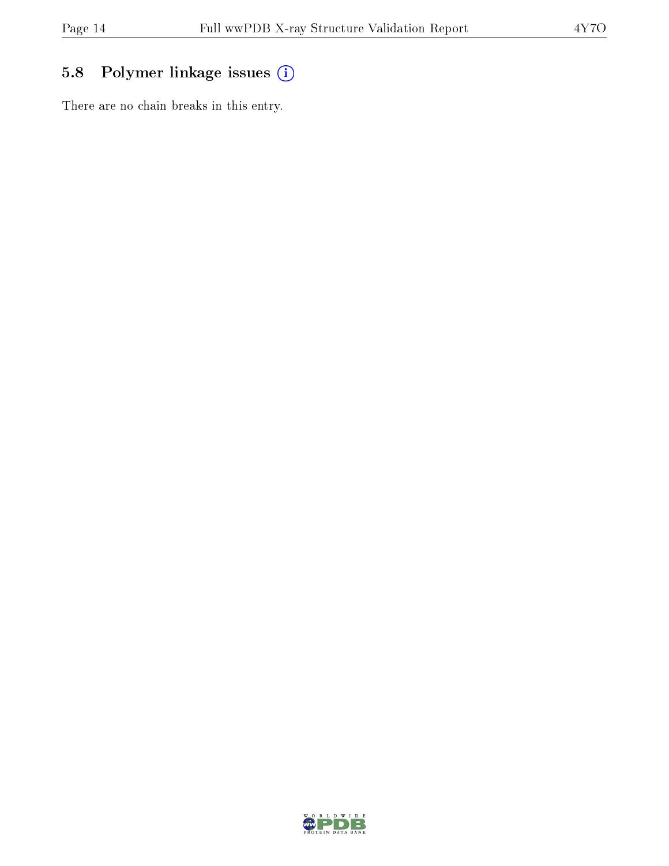### 5.8 Polymer linkage issues (i)

There are no chain breaks in this entry.

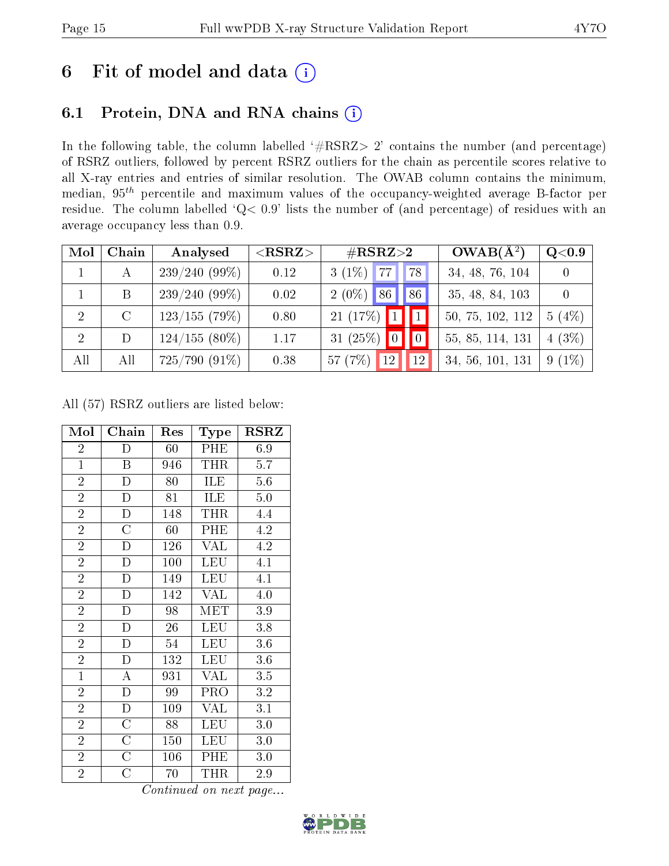### 6 Fit of model and data  $(i)$

### 6.1 Protein, DNA and RNA chains  $(i)$

In the following table, the column labelled  $#RSRZ> 2'$  contains the number (and percentage) of RSRZ outliers, followed by percent RSRZ outliers for the chain as percentile scores relative to all X-ray entries and entries of similar resolution. The OWAB column contains the minimum, median,  $95<sup>th</sup>$  percentile and maximum values of the occupancy-weighted average B-factor per residue. The column labelled ' $Q< 0.9$ ' lists the number of (and percentage) of residues with an average occupancy less than 0.9.

| Mol            | Chain   | Analysed        | $<$ RSRZ $>$ | $\#\text{RSRZ}{>}2$                   | $OWAB(A^2)$      | Q <sub>0.9</sub> |
|----------------|---------|-----------------|--------------|---------------------------------------|------------------|------------------|
|                | А       | $239/240(99\%)$ | 0.12         | $3(1\%)$<br>177<br><b>78</b>          | 34, 48, 76, 104  |                  |
|                | B       | $239/240(99\%)$ | 0.02         | 86<br>$2(0\%)$<br>86                  | 35, 48, 84, 103  |                  |
| 2              | $\rm C$ | $123/155$ (79%) | 0.80         | 21(17%)<br>$\vert\vert$ 1             | 50, 75, 102, 112 | $5(4\%)$         |
| $\overline{2}$ | D       | $124/155(80\%)$ | 1.17         | 31 $(25\%)$ 0<br>$\vert\vert 0 \vert$ | 55, 85, 114, 131 | $4(3\%)$         |
| All            | All     | $725/790(91\%)$ | 0.38         | 57(7%)<br>12<br>12                    | 34, 56, 101, 131 | $9(1\%)$         |

All (57) RSRZ outliers are listed below:

| Mol            | Chain                   | Res             | Type       | <b>RSRZ</b>      |
|----------------|-------------------------|-----------------|------------|------------------|
| $\overline{2}$ | D                       | 60              | PHE        | 6.9              |
| $\overline{1}$ | $\boldsymbol{B}$        | 946             | THR        | 5.7              |
| $\overline{2}$ | $\overline{\mathrm{D}}$ | 80              | ILE        | 5.6              |
| $\overline{2}$ | $\overline{D}$          | 81              | ILE        | 5.0              |
| $\overline{2}$ | $\overline{\rm D}$      | 148             | THR        | 4.4              |
| $\overline{2}$ | $\overline{\rm C}$      | 60              | PHE        | $\overline{4.2}$ |
| $\overline{2}$ | D                       | 126             | <b>VAL</b> | 4.2              |
| $\overline{2}$ | D                       | 100             | LEU        | 4.1              |
| $\overline{2}$ | $\overline{\rm D}$      | 149             | <b>LEU</b> | 4.1              |
| $\overline{2}$ | $\overline{D}$          | 142             | <b>VAL</b> | 4.0              |
| $\overline{2}$ | D                       | 98              | MET        | 3.9              |
| $\overline{2}$ | $\overline{\rm D}$      | $\overline{26}$ | <b>LEU</b> | 3.8              |
| $\overline{2}$ | $\mathbf D$             | 54              | <b>LEU</b> | $3.6\,$          |
| $\overline{2}$ | $\overline{D}$          | 132             | LEU        | 3.6              |
| $\overline{1}$ | $\overline{\rm A}$      | 931             | VAL        | 3.5              |
| $\overline{2}$ | $\mathbf{D}$            | 99              | PRO        | 3.2              |
| $\overline{2}$ | D                       | 109             | <b>VAL</b> | 3.1              |
| $\overline{2}$ | $\overline{\rm C}$      | 88              | LEU        | 3.0              |
| $\overline{2}$ | $\overline{\rm C}$      | 150             | <b>LEU</b> | 3.0              |
| $\overline{2}$ | $\rm{C}$                | 106             | PHE        | 3.0              |
| $\overline{2}$ | С                       | 70              | THR        | 2.9              |

Continued on next page...

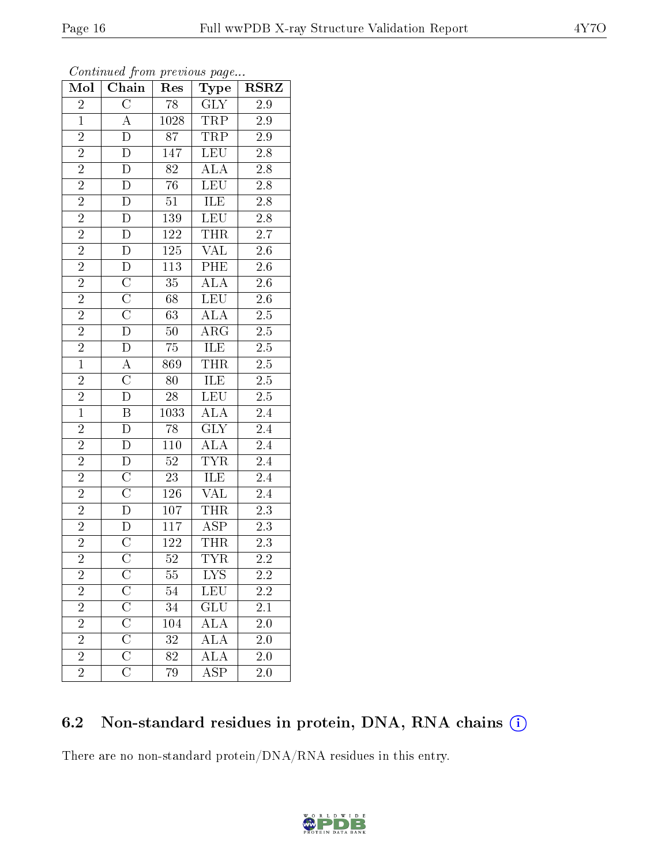| Mol            | Chain                   | Res             | $_{\rm Type}$           | <b>RSRZ</b>      |  |
|----------------|-------------------------|-----------------|-------------------------|------------------|--|
| $\overline{2}$ | $\overline{\rm C}$      | 78              | $\overline{GLY}$        | 2.9              |  |
| $\mathbf{1}$   | $\mathbf{A}$            | 1028            | TRP                     | $2.9\,$          |  |
| $\overline{2}$ | $\overline{\rm D}$      | $\overline{87}$ | <b>TRP</b>              | $2.9\,$          |  |
| $\overline{2}$ | $\overline{\rm D}$      | 147             | $\overline{\text{LEU}}$ | $\overline{2.8}$ |  |
| $\overline{2}$ | $\overline{\rm D}$      | $\overline{82}$ | $\overline{ALA}$        | $\overline{2.8}$ |  |
| $\overline{2}$ | $\mathbf D$             | 76              | LEU                     | $\overline{2.8}$ |  |
| $\overline{2}$ | $\overline{D}$          | 51              | <b>ILE</b>              | $2.\overline{8}$ |  |
| $\overline{2}$ | $\bar{\rm D}$           | 139             | LEU                     | $\overline{2.8}$ |  |
| $\overline{2}$ | ${\rm D}$               | $122\,$         | <b>THR</b>              | $2.7\,$          |  |
| $\overline{2}$ | $\overline{\rm D}$      | <b>125</b>      | <b>VAL</b>              | $\overline{2.6}$ |  |
| $\overline{2}$ | $\overline{D}$          | 113             | PHE                     | $2.6\,$          |  |
| $\overline{2}$ | $\overline{\rm C}$      | $\overline{35}$ | $\overline{\text{ALA}}$ | $\overline{2.6}$ |  |
| $\overline{2}$ | $\overline{\rm C}$      | 68              | <b>LEU</b>              | $2.6\,$          |  |
| $\overline{2}$ | $\overline{\rm C}$      | 63              | <b>ALA</b>              | $\overline{2.5}$ |  |
| $\overline{2}$ | $\overline{\rm D}$      | $50\,$          | $\overline{\text{ARG}}$ | $\overline{2.5}$ |  |
| $\overline{2}$ | $\mathbf D$             | 75              | ILE                     | $2.5\,$          |  |
| $\overline{1}$ | $\overline{A}$          | 869             | <b>THR</b>              | $\overline{2.5}$ |  |
| $\overline{2}$ | $\overline{\rm C}$      | 80              | ILE                     | $2.5\,$          |  |
| $\overline{2}$ | $\overline{\rm D}$      | 28              | $\overline{\text{LEU}}$ | $\overline{2.5}$ |  |
| $\overline{1}$ | $\overline{\mathbf{B}}$ | 1033            | $\overline{\text{ALA}}$ | $\overline{2.4}$ |  |
| $\overline{c}$ | $\overline{\rm D}$      | 78              | $\overline{\text{GLY}}$ | $2.4\,$          |  |
| $\overline{2}$ | $\overline{\rm D}$      | 110             | $\overline{\rm ALA}$    | $\overline{2.4}$ |  |
| $\overline{2}$ | $\overline{\rm D}$      | $52\,$          | $\overline{\text{TYR}}$ | $\overline{2.4}$ |  |
| $\overline{2}$ | $\overline{\text{C}}$   | $23\,$          | ILE                     | $\overline{2.4}$ |  |
| $\overline{2}$ | $\overline{\rm C}$      | 126             | VAL                     | 2.4              |  |
| $\overline{2}$ | $\bar{\rm D}$           | 107             | <b>THR</b>              | $2.3\,$          |  |
| $\overline{2}$ | $\overline{D}$          | 117             | $\overline{\text{ASP}}$ | $\overline{2.3}$ |  |
| $\overline{2}$ | $\overline{\text{C}}$   | 122             | THR                     | 2.3              |  |
| $\overline{2}$ | $\overline{\rm C}$      | $\overline{52}$ | $\overline{\text{TYR}}$ | $\overline{2.2}$ |  |
| $\overline{2}$ |                         | $\overline{55}$ | $\overline{\text{LYS}}$ | 2.2              |  |
| $\overline{2}$ | $\overline{\rm C}$      | 54              | $\overline{\text{LEU}}$ | <b>2.2</b>       |  |
| $\overline{2}$ | $\overline{\rm C}$      | 34              | $\overline{{\rm GLU}}$  | $\overline{2.1}$ |  |
| $\overline{2}$ | $\overline{C}$          | 104             | $\widehat{\text{ALA}}$  | 2.0              |  |
| $\overline{2}$ | $\overline{\rm C}$      | 32              | $\overline{\rm ALA}$    | 2.0              |  |
| $\overline{2}$ | $\overline{C}$          | 82              | <b>ALA</b>              | 2.0              |  |
| $\overline{2}$ | $\overline{\rm C}$      | 79              | $\overline{\text{ASP}}$ | 2.0              |  |

Continued from previous page...

### 6.2 Non-standard residues in protein, DNA, RNA chains (i)

There are no non-standard protein/DNA/RNA residues in this entry.